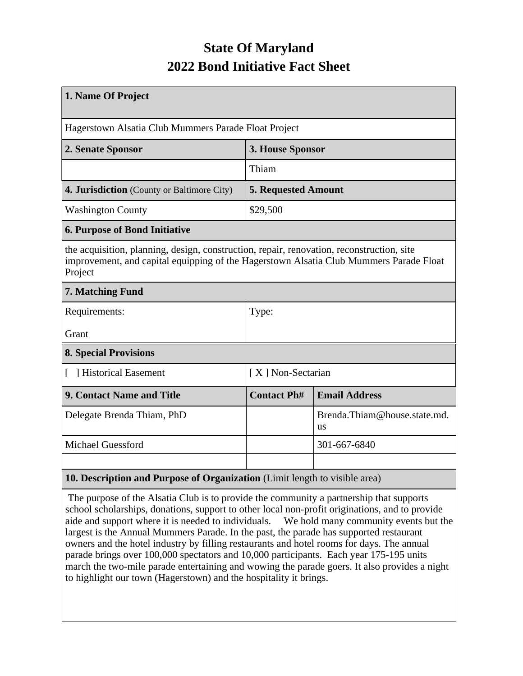## **State Of Maryland 2022 Bond Initiative Fact Sheet**

| 1. Name Of Project                                                                                                                                                                             |                            |                                    |  |  |  |  |  |
|------------------------------------------------------------------------------------------------------------------------------------------------------------------------------------------------|----------------------------|------------------------------------|--|--|--|--|--|
| Hagerstown Alsatia Club Mummers Parade Float Project                                                                                                                                           |                            |                                    |  |  |  |  |  |
| 2. Senate Sponsor                                                                                                                                                                              | 3. House Sponsor           |                                    |  |  |  |  |  |
|                                                                                                                                                                                                | Thiam                      |                                    |  |  |  |  |  |
| 4. Jurisdiction (County or Baltimore City)                                                                                                                                                     | <b>5. Requested Amount</b> |                                    |  |  |  |  |  |
| <b>Washington County</b>                                                                                                                                                                       | \$29,500                   |                                    |  |  |  |  |  |
| <b>6. Purpose of Bond Initiative</b>                                                                                                                                                           |                            |                                    |  |  |  |  |  |
| the acquisition, planning, design, construction, repair, renovation, reconstruction, site<br>improvement, and capital equipping of the Hagerstown Alsatia Club Mummers Parade Float<br>Project |                            |                                    |  |  |  |  |  |
| 7. Matching Fund                                                                                                                                                                               |                            |                                    |  |  |  |  |  |
| Requirements:                                                                                                                                                                                  | Type:                      |                                    |  |  |  |  |  |
| Grant                                                                                                                                                                                          |                            |                                    |  |  |  |  |  |
| <b>8. Special Provisions</b>                                                                                                                                                                   |                            |                                    |  |  |  |  |  |
| [ ] Historical Easement                                                                                                                                                                        | [X] Non-Sectarian          |                                    |  |  |  |  |  |
| <b>9. Contact Name and Title</b>                                                                                                                                                               | <b>Contact Ph#</b>         | <b>Email Address</b>               |  |  |  |  |  |
| Delegate Brenda Thiam, PhD                                                                                                                                                                     |                            | Brenda.Thiam@house.state.md.<br>us |  |  |  |  |  |
| <b>Michael Guessford</b>                                                                                                                                                                       |                            | 301-667-6840                       |  |  |  |  |  |
|                                                                                                                                                                                                |                            |                                    |  |  |  |  |  |
| 10. Description and Purpose of Organization (Limit length to visible area)                                                                                                                     |                            |                                    |  |  |  |  |  |

 The purpose of the Alsatia Club is to provide the community a partnership that supports school scholarships, donations, support to other local non-profit originations, and to provide aide and support where it is needed to individuals. We hold many community events but the largest is the Annual Mummers Parade. In the past, the parade has supported restaurant owners and the hotel industry by filling restaurants and hotel rooms for days. The annual parade brings over 100,000 spectators and 10,000 participants. Each year 175-195 units march the two-mile parade entertaining and wowing the parade goers. It also provides a night to highlight our town (Hagerstown) and the hospitality it brings.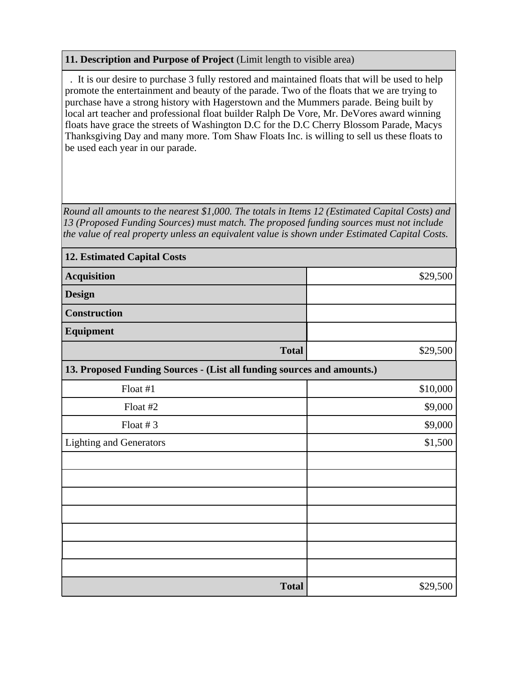## **11. Description and Purpose of Project** (Limit length to visible area)

 . It is our desire to purchase 3 fully restored and maintained floats that will be used to help promote the entertainment and beauty of the parade. Two of the floats that we are trying to purchase have a strong history with Hagerstown and the Mummers parade. Being built by local art teacher and professional float builder Ralph De Vore, Mr. DeVores award winning floats have grace the streets of Washington D.C for the D.C Cherry Blossom Parade, Macys Thanksgiving Day and many more. Tom Shaw Floats Inc. is willing to sell us these floats to be used each year in our parade.

*Round all amounts to the nearest \$1,000. The totals in Items 12 (Estimated Capital Costs) and 13 (Proposed Funding Sources) must match. The proposed funding sources must not include the value of real property unless an equivalent value is shown under Estimated Capital Costs.*

| <b>12. Estimated Capital Costs</b>                                     |          |  |  |  |  |
|------------------------------------------------------------------------|----------|--|--|--|--|
| <b>Acquisition</b>                                                     | \$29,500 |  |  |  |  |
| <b>Design</b>                                                          |          |  |  |  |  |
| <b>Construction</b>                                                    |          |  |  |  |  |
| Equipment                                                              |          |  |  |  |  |
| <b>Total</b>                                                           | \$29,500 |  |  |  |  |
| 13. Proposed Funding Sources - (List all funding sources and amounts.) |          |  |  |  |  |
| Float #1                                                               | \$10,000 |  |  |  |  |
| Float #2                                                               | \$9,000  |  |  |  |  |
| Float $# 3$                                                            | \$9,000  |  |  |  |  |
| <b>Lighting and Generators</b>                                         | \$1,500  |  |  |  |  |
|                                                                        |          |  |  |  |  |
|                                                                        |          |  |  |  |  |
|                                                                        |          |  |  |  |  |
|                                                                        |          |  |  |  |  |
|                                                                        |          |  |  |  |  |
|                                                                        |          |  |  |  |  |
|                                                                        |          |  |  |  |  |
| <b>Total</b>                                                           | \$29,500 |  |  |  |  |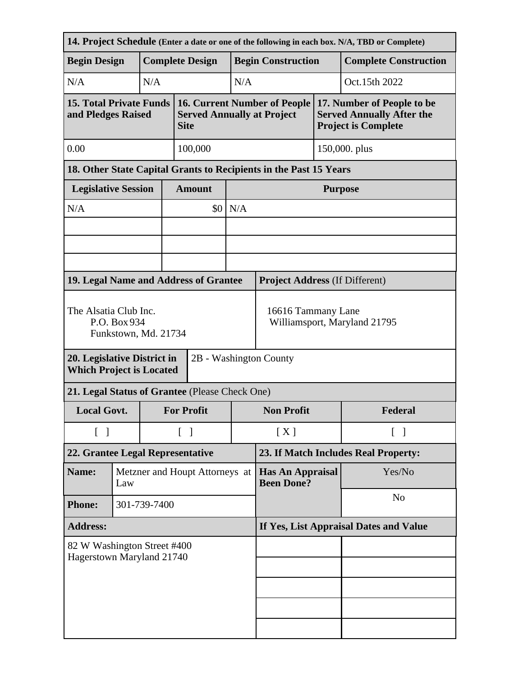| 14. Project Schedule (Enter a date or one of the following in each box. N/A, TBD or Complete) |                                       |     |                                   |                                                                                         |                                              |                                                                   |               |                                                                                              |  |
|-----------------------------------------------------------------------------------------------|---------------------------------------|-----|-----------------------------------|-----------------------------------------------------------------------------------------|----------------------------------------------|-------------------------------------------------------------------|---------------|----------------------------------------------------------------------------------------------|--|
| <b>Begin Design</b>                                                                           |                                       |     |                                   | <b>Complete Design</b>                                                                  |                                              | <b>Begin Construction</b>                                         |               | <b>Complete Construction</b>                                                                 |  |
| N/A                                                                                           |                                       | N/A |                                   |                                                                                         | N/A                                          |                                                                   |               | Oct.15th 2022                                                                                |  |
| <b>15. Total Private Funds</b><br>and Pledges Raised                                          |                                       |     |                                   | <b>16. Current Number of People</b><br><b>Served Annually at Project</b><br><b>Site</b> |                                              |                                                                   |               | 17. Number of People to be<br><b>Served Annually After the</b><br><b>Project is Complete</b> |  |
| 0.00                                                                                          |                                       |     |                                   | 100,000                                                                                 |                                              |                                                                   | 150,000. plus |                                                                                              |  |
|                                                                                               |                                       |     |                                   |                                                                                         |                                              | 18. Other State Capital Grants to Recipients in the Past 15 Years |               |                                                                                              |  |
| <b>Legislative Session</b>                                                                    |                                       |     |                                   | <b>Amount</b>                                                                           |                                              | <b>Purpose</b>                                                    |               |                                                                                              |  |
| N/A                                                                                           |                                       |     |                                   | \$0 <sub>1</sub>                                                                        | N/A                                          |                                                                   |               |                                                                                              |  |
|                                                                                               |                                       |     |                                   |                                                                                         |                                              |                                                                   |               |                                                                                              |  |
|                                                                                               |                                       |     |                                   |                                                                                         |                                              |                                                                   |               |                                                                                              |  |
|                                                                                               |                                       |     |                                   |                                                                                         |                                              |                                                                   |               |                                                                                              |  |
| 19. Legal Name and Address of Grantee                                                         |                                       |     |                                   |                                                                                         |                                              | <b>Project Address (If Different)</b>                             |               |                                                                                              |  |
| The Alsatia Club Inc.<br>P.O. Box 934<br>Funkstown, Md. 21734                                 |                                       |     |                                   | 16616 Tammany Lane<br>Williamsport, Maryland 21795                                      |                                              |                                                                   |               |                                                                                              |  |
| 2B - Washington County<br>20. Legislative District in<br><b>Which Project is Located</b>      |                                       |     |                                   |                                                                                         |                                              |                                                                   |               |                                                                                              |  |
| 21. Legal Status of Grantee (Please Check One)                                                |                                       |     |                                   |                                                                                         |                                              |                                                                   |               |                                                                                              |  |
| <b>Local Govt.</b>                                                                            |                                       |     | <b>For Profit</b>                 |                                                                                         | <b>Non Profit</b>                            |                                                                   | Federal       |                                                                                              |  |
| $\begin{bmatrix} \end{bmatrix}$                                                               |                                       |     | $\begin{bmatrix} 1 \end{bmatrix}$ |                                                                                         | [X]                                          | $\lceil$ $\rceil$                                                 |               |                                                                                              |  |
| 22. Grantee Legal Representative                                                              |                                       |     |                                   |                                                                                         |                                              | 23. If Match Includes Real Property:                              |               |                                                                                              |  |
| Name:                                                                                         | Metzner and Houpt Attorneys at<br>Law |     |                                   |                                                                                         | <b>Has An Appraisal</b><br><b>Been Done?</b> |                                                                   | Yes/No        |                                                                                              |  |
| <b>Phone:</b>                                                                                 | 301-739-7400                          |     |                                   |                                                                                         |                                              | N <sub>o</sub>                                                    |               |                                                                                              |  |
| <b>Address:</b>                                                                               |                                       |     |                                   |                                                                                         | If Yes, List Appraisal Dates and Value       |                                                                   |               |                                                                                              |  |
| 82 W Washington Street #400<br>Hagerstown Maryland 21740                                      |                                       |     |                                   |                                                                                         |                                              |                                                                   |               |                                                                                              |  |
|                                                                                               |                                       |     |                                   |                                                                                         |                                              |                                                                   |               |                                                                                              |  |
|                                                                                               |                                       |     |                                   |                                                                                         |                                              |                                                                   |               |                                                                                              |  |
|                                                                                               |                                       |     |                                   |                                                                                         |                                              |                                                                   |               |                                                                                              |  |
|                                                                                               |                                       |     |                                   |                                                                                         |                                              |                                                                   |               |                                                                                              |  |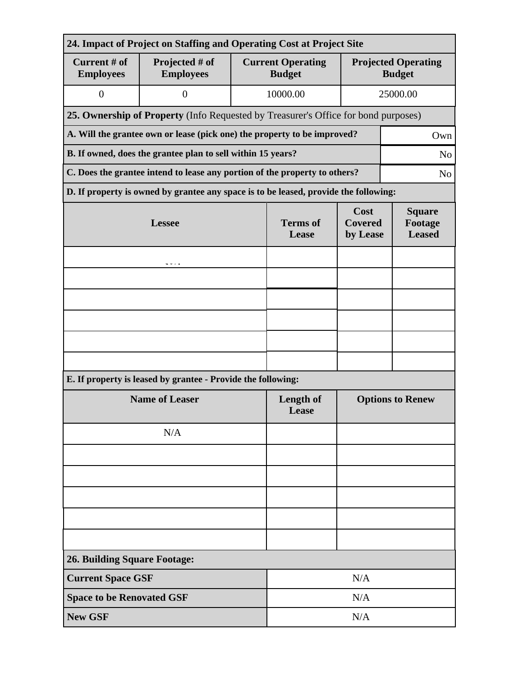| 24. Impact of Project on Staffing and Operating Cost at Project Site                         |                                                                                      |                          |                                           |                                           |                                             |  |  |  |  |  |
|----------------------------------------------------------------------------------------------|--------------------------------------------------------------------------------------|--------------------------|-------------------------------------------|-------------------------------------------|---------------------------------------------|--|--|--|--|--|
| Current # of<br><b>Employees</b>                                                             | Projected # of<br><b>Employees</b>                                                   |                          | <b>Current Operating</b><br><b>Budget</b> |                                           | <b>Projected Operating</b><br><b>Budget</b> |  |  |  |  |  |
| $\boldsymbol{0}$                                                                             | $\overline{0}$                                                                       |                          | 10000.00                                  |                                           | 25000.00                                    |  |  |  |  |  |
|                                                                                              | 25. Ownership of Property (Info Requested by Treasurer's Office for bond purposes)   |                          |                                           |                                           |                                             |  |  |  |  |  |
| A. Will the grantee own or lease (pick one) the property to be improved?<br>Own              |                                                                                      |                          |                                           |                                           |                                             |  |  |  |  |  |
| B. If owned, does the grantee plan to sell within 15 years?<br>N <sub>o</sub>                |                                                                                      |                          |                                           |                                           |                                             |  |  |  |  |  |
| C. Does the grantee intend to lease any portion of the property to others?<br>N <sub>0</sub> |                                                                                      |                          |                                           |                                           |                                             |  |  |  |  |  |
|                                                                                              | D. If property is owned by grantee any space is to be leased, provide the following: |                          |                                           |                                           |                                             |  |  |  |  |  |
|                                                                                              | <b>Lessee</b>                                                                        | <b>Terms</b> of<br>Lease | Cost<br><b>Covered</b><br>by Lease        | <b>Square</b><br>Footage<br><b>Leased</b> |                                             |  |  |  |  |  |
|                                                                                              |                                                                                      |                          |                                           |                                           |                                             |  |  |  |  |  |
|                                                                                              |                                                                                      |                          |                                           |                                           |                                             |  |  |  |  |  |
|                                                                                              |                                                                                      |                          |                                           |                                           |                                             |  |  |  |  |  |
|                                                                                              |                                                                                      |                          |                                           |                                           |                                             |  |  |  |  |  |
|                                                                                              |                                                                                      |                          |                                           |                                           |                                             |  |  |  |  |  |
|                                                                                              |                                                                                      |                          |                                           |                                           |                                             |  |  |  |  |  |
| E. If property is leased by grantee - Provide the following:                                 |                                                                                      |                          |                                           |                                           |                                             |  |  |  |  |  |
|                                                                                              | <b>Name of Leaser</b>                                                                | Length of<br>Lease       | <b>Options to Renew</b>                   |                                           |                                             |  |  |  |  |  |
|                                                                                              | N/A                                                                                  |                          |                                           |                                           |                                             |  |  |  |  |  |
|                                                                                              |                                                                                      |                          |                                           |                                           |                                             |  |  |  |  |  |
|                                                                                              |                                                                                      |                          |                                           |                                           |                                             |  |  |  |  |  |
|                                                                                              |                                                                                      |                          |                                           |                                           |                                             |  |  |  |  |  |
|                                                                                              |                                                                                      |                          |                                           |                                           |                                             |  |  |  |  |  |
|                                                                                              |                                                                                      |                          |                                           |                                           |                                             |  |  |  |  |  |
| <b>26. Building Square Footage:</b>                                                          |                                                                                      |                          |                                           |                                           |                                             |  |  |  |  |  |
| <b>Current Space GSF</b>                                                                     |                                                                                      |                          |                                           | N/A                                       |                                             |  |  |  |  |  |
| <b>Space to be Renovated GSF</b>                                                             |                                                                                      | N/A                      |                                           |                                           |                                             |  |  |  |  |  |
| <b>New GSF</b>                                                                               |                                                                                      | N/A                      |                                           |                                           |                                             |  |  |  |  |  |